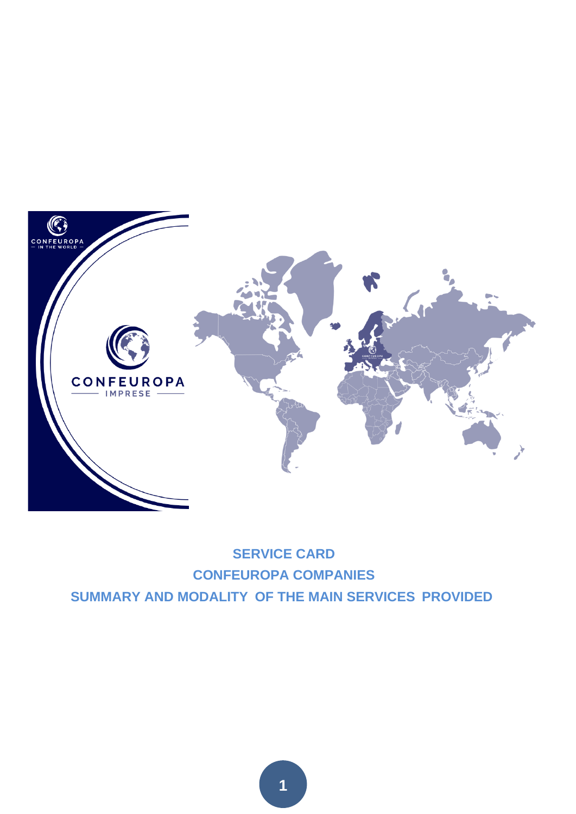

# **SERVICE CARD CONFEUROPA COMPANIES SUMMARY AND MODALITY OF THE MAIN SERVICES PROVIDED**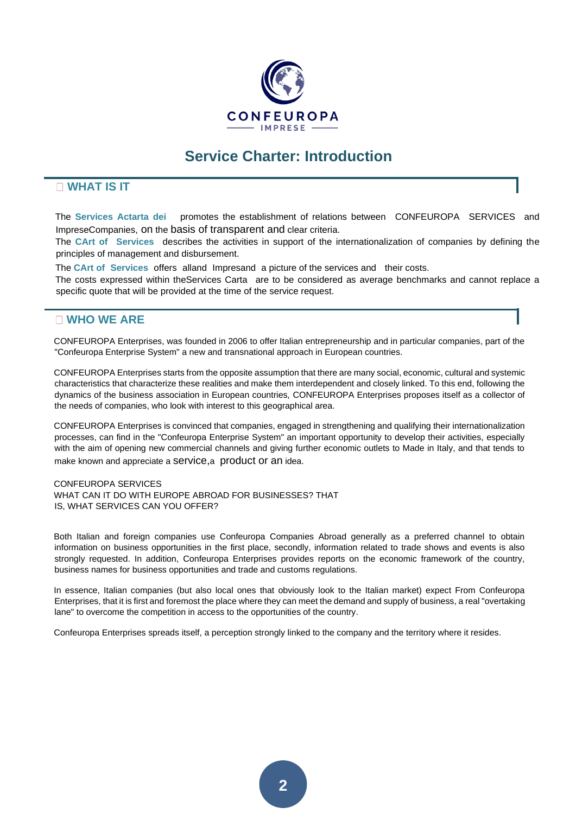

# **Service Charter: Introduction**

# **WHAT IS IT**

The **Services Actarta dei** promotes the establishment of relations between CONFEUROPA SERVICES and ImpreseCompanies, on the basis of transparent and clear criteria.

The **CArt of Services** describes the activities in support of the internationalization of companies by defining the principles of management and disbursement.

The **CArt of Services** offers alland Impresand a picture of the services and their costs.

The costs expressed within theServices Carta are to be considered as average benchmarks and cannot replace a specific quote that will be provided at the time of the service request.

# **WHO WE ARE**

CONFEUROPA Enterprises, was founded in 2006 to offer Italian entrepreneurship and in particular companies, part of the "Confeuropa Enterprise System" a new and transnational approach in European countries.

CONFEUROPA Enterprises starts from the opposite assumption that there are many social, economic, cultural and systemic characteristics that characterize these realities and make them interdependent and closely linked. To this end, following the dynamics of the business association in European countries, CONFEUROPA Enterprises proposes itself as a collector of the needs of companies, who look with interest to this geographical area.

CONFEUROPA Enterprises is convinced that companies, engaged in strengthening and qualifying their internationalization processes, can find in the "Confeuropa Enterprise System" an important opportunity to develop their activities, especially with the aim of opening new commercial channels and giving further economic outlets to Made in Italy, and that tends to make known and appreciate a [service,](https://it.wikipedia.org/wiki/Servizio)[a](https://it.wikipedia.org/wiki/Servizio) [product](https://it.wikipedia.org/wiki/Prodotto_(economia)) [or an](https://it.wikipedia.org/wiki/Prodotto_(economia)) idea.

#### CONFEUROPA SERVICES WHAT CAN IT DO WITH EUROPE ABROAD FOR BUSINESSES? THAT IS, WHAT SERVICES CAN YOU OFFER?

Both Italian and foreign companies use Confeuropa Companies Abroad generally as a preferred channel to obtain information on business opportunities in the first place, secondly, information related to trade shows and events is also strongly requested. In addition, Confeuropa Enterprises provides reports on the economic framework of the country, business names for business opportunities and trade and customs regulations.

In essence, Italian companies (but also local ones that obviously look to the Italian market) expect From Confeuropa Enterprises, that it is first and foremost the place where they can meet the demand and supply of business, a real "overtaking lane" to overcome the competition in access to the opportunities of the country.

Confeuropa Enterprises spreads itself, a perception strongly linked to the company and the territory where it resides.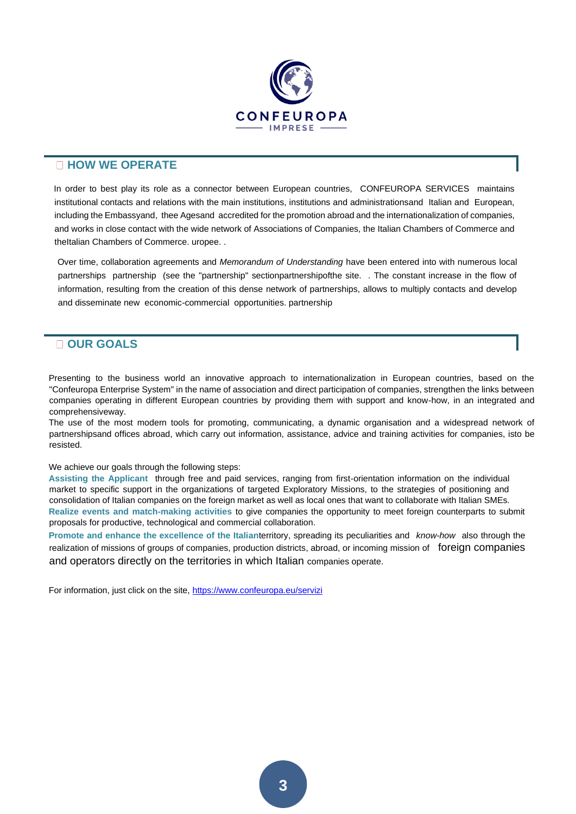

### **HOW WE OPERATE**

In order to best play its role as a connector between European countries, CONFEUROPA SERVICES maintains institutional contacts and relations with the main institutions, institutions and administrationsand Italian and European, including the Embassyand, thee Agesand accredited for the promotion abroad and the internationalization of companies, and works in close contact with the wide network of Associations of Companies, the Italian Chambers of Commerce and theItalian Chambers of Commerce. uropee. .

Over time, collaboration agreements and *Memorandum of Understanding* have been entered into with numerous local partnerships partnership (see the "partnership" sectionpartnershipofthe site. . The constant increase in the flow of information, resulting from the creation of this dense network of partnerships, allows to multiply contacts and develop and disseminate new economic-commercial opportunities. partnership

# **OUR GOALS**

Presenting to the business world an innovative approach to internationalization in European countries, based on the "Confeuropa Enterprise System" in the name of association and direct participation of companies, strengthen the links between companies operating in different European countries by providing them with support and know-how, in an integrated and comprehensiveway.

The use of the most modern tools for promoting, communicating, a dynamic organisation and a widespread network of partnershipsand offices abroad, which carry out information, assistance, advice and training activities for companies, isto be resisted.

We achieve our goals through the following steps:

**Assisting the Applicant** through free and paid services, ranging from first-orientation information on the individual market to specific support in the organizations of targeted Exploratory Missions, to the strategies of positioning and consolidation of Italian companies on the foreign market as well as local ones that want to collaborate with Italian SMEs. **Realize events and match-making activities** to give companies the opportunity to meet foreign counterparts to submit proposals for productive, technological and commercial collaboration.

**Promote and enhance the excellence of the Italian**territory, spreading its peculiarities and *know-how* also through the realization of missions of groups of companies, production districts, abroad, or incoming mission of foreign companies and operators directly on the territories in which Italian companies operate.

For information, just click on the site,<https://www.confeuropa.eu/servizi>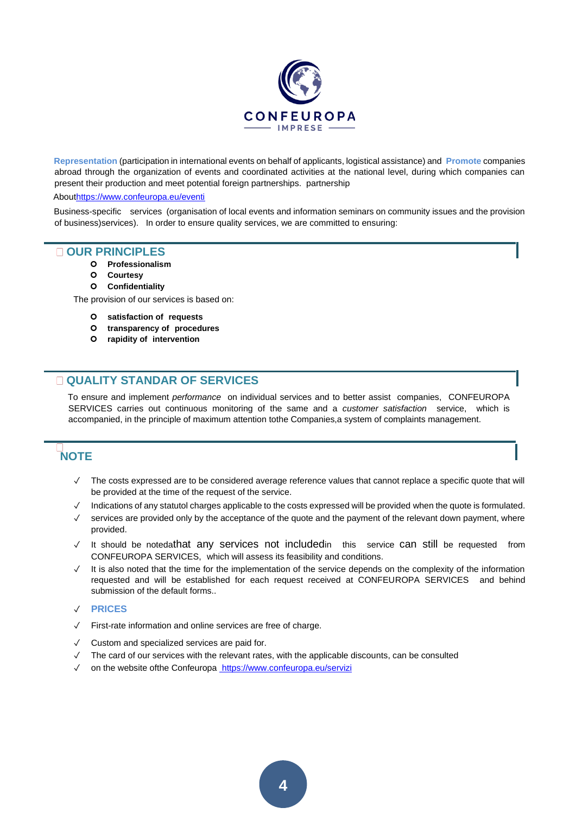

**Representation** (participation in international events on behalf of applicants, logistical assistance) and **Promote** companies abroad through the organization of events and coordinated activities at the national level, during which companies can present their production and meet potential foreign partnerships. partnership

#### Abo[uthttps://www.confeuropa.eu/eventi](https://www.confeuropa.eu/eventi)

Business-specific services (organisation of local events and information seminars on community issues and the provision of business)services). In order to ensure quality services, we are committed to ensuring:

### **OUR PRINCIPLES**

- **Professionalism**
- **Courtesy**
- **Confidentiality**

The provision of our services is based on:

- **satisfaction of requests**
- **transparency of procedures**
- **rapidity of intervention**

# **QUALITY STANDAR OF SERVICES**

To ensure and implement *performance* on individual services and to better assist companies, CONFEUROPA SERVICES carries out continuous monitoring of the same and a *customer satisfaction* service, which is accompanied, in the principle of maximum attention tothe Companies,a system of complaints management.

# **NOTE**

- ✓ The costs expressed are to be considered average reference values that cannot replace a specific quote that will be provided at the time of the request of the service.
- ✓ Indications of any statutol charges applicable to the costs expressed will be provided when the quote is formulated.
- ✓ services are provided only by the acceptance of the quote and the payment of the relevant down payment, where provided.
- ✓ It should be notedathat any services not includedin this service can still be requested from CONFEUROPA SERVICES, which will assess its feasibility and conditions.
- ✓ It is also noted that the time for the implementation of the service depends on the complexity of the information requested and will be established for each request received at CONFEUROPA SERVICES and behind submission of the default forms..

### ✓ **PRICES**

- ✓ First-rate information and online services are free of charge.
- Custom and specialized services are paid for.
- ✓ The card of our services with the relevant rates, with the applicable discounts, can be consulted
- on the website ofthe Confeurop[a https://www.confeuropa.eu/servizi](https://www.confeuropa.eu/servizi)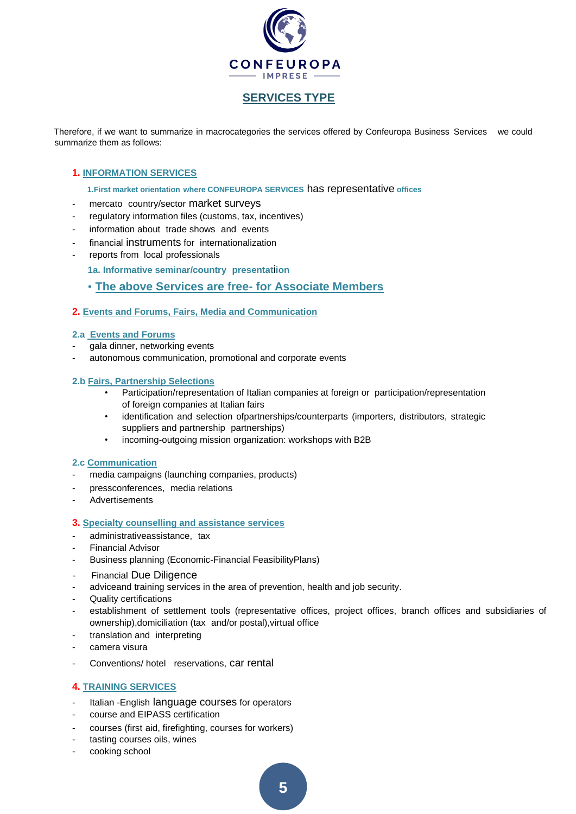

## **SERVICES TYPE**

Therefore, if we want to summarize in macrocategories the services offered by Confeuropa Business Services we could summarize them as follows:

### **1. INFORMATION SERVICES**

**1.First market orientation where CONFEUROPA SERVICES** has representative **offices**

- mercato country/sector market surveys
- regulatory information files (customs, tax, incentives)
- information about trade shows and events
- financial instruments for internationalization
- reports from local professionals

**1a. Informative seminar/country presentat**i**ion**

### • **The above Services are free- for Associate Members**

### **2. Events and Forums, Fairs, Media and Communication**

### **2.a Events and Forums**

- gala dinner, networking events
- autonomous communication, promotional and corporate events

### **2.b Fairs, Partnership Selections**

- Participation/representation of Italian companies at foreign or participation/representation of foreign companies at Italian fairs
- identification and selection ofpartnerships/counterparts (importers, distributors, strategic suppliers and partnership partnerships)
- incoming-outgoing mission organization: workshops with B2B

#### **2.c Communication**

- media campaigns (launching companies, products)
- pressconferences, media relations
- **Advertisements**

### **3. Specialty counselling and assistance services**

- administrativeassistance, tax
- Financial Advisor
- Business planning (Economic-Financial FeasibilityPlans)
- Financial Due Diligence
- adviceand training services in the area of prevention, health and job security.
- Quality certifications
- establishment of settlement tools (representative offices, project offices, branch offices and subsidiaries of ownership),domiciliation (tax and/or postal), virtual office
- translation and interpreting
- camera visura
- Conventions/ hotel reservations, car rental

### **4. TRAINING SERVICES**

- Italian -English language courses for operators
- course and EIPASS certification
- courses (first aid, firefighting, courses for workers)
- tasting courses oils, wines
- cooking school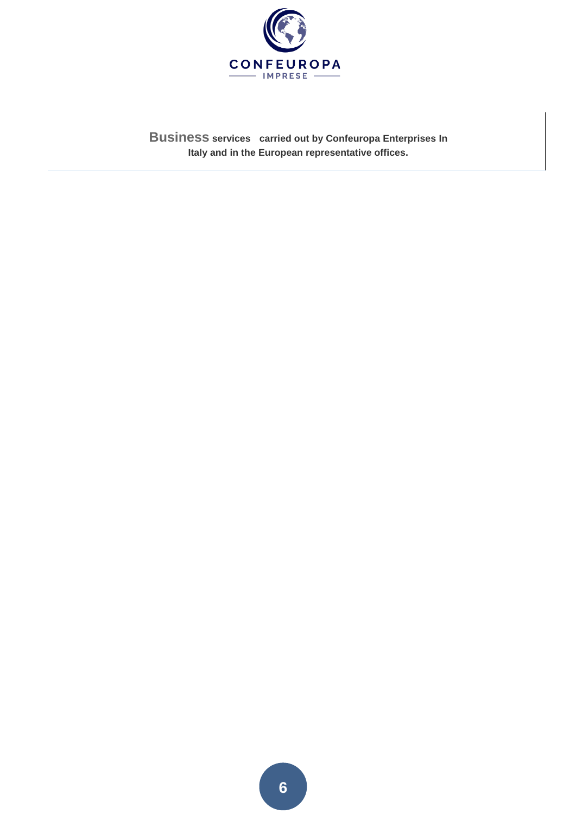

**Business services carried out by Confeuropa Enterprises In Italy and in the European representative offices.**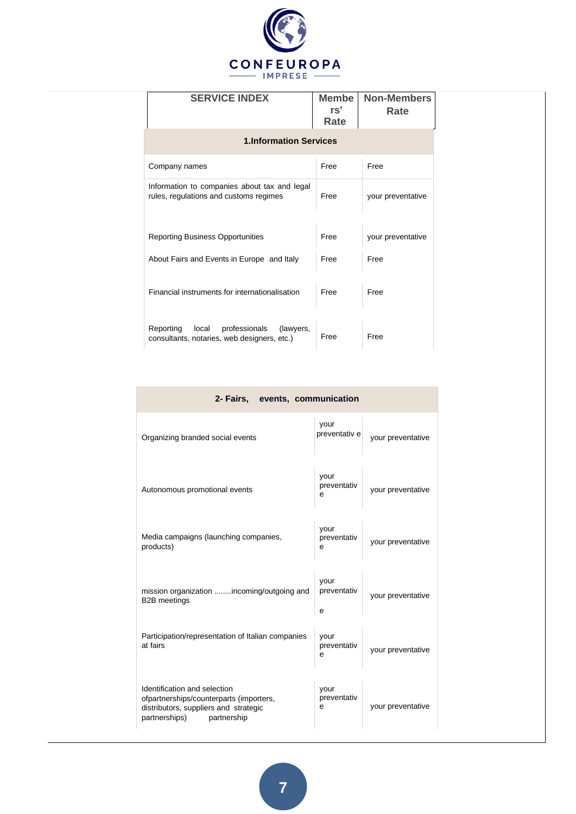

| <b>SERVICE INDEX</b>                                                                            | <b>Membe</b><br>rs'<br>Rate | <b>Non-Members</b><br>Rate |
|-------------------------------------------------------------------------------------------------|-----------------------------|----------------------------|
| <b>1.Information Services</b>                                                                   |                             |                            |
| Company names                                                                                   | Free                        | Free                       |
| Information to companies about tax and legal<br>rules, regulations and customs regimes          | Free                        | your preventative          |
| <b>Reporting Business Opportunities</b>                                                         | Free                        | your preventative          |
| About Fairs and Events in Europe and Italy                                                      | Free                        | Free                       |
| Financial instruments for internationalisation                                                  | Free                        | Free                       |
| Reporting<br>professionals<br>local<br>(lawyers,<br>consultants, notaries, web designers, etc.) | Free                        | Free                       |

|  | 2- Fairs, events, communication |  |
|--|---------------------------------|--|
|  | VOUL                            |  |

| Organizing branded social events                                                                                                                 | your<br>preventativ e    | your preventative |
|--------------------------------------------------------------------------------------------------------------------------------------------------|--------------------------|-------------------|
| Autonomous promotional events                                                                                                                    | your<br>preventativ<br>e | your preventative |
| Media campaigns (launching companies,<br>products)                                                                                               | your<br>preventativ<br>e | your preventative |
| mission organization incoming/outgoing and<br><b>B2B</b> meetings                                                                                | your<br>preventativ<br>e | your preventative |
| Participation/representation of Italian companies<br>at fairs                                                                                    | your<br>preventativ<br>е | your preventative |
| Identification and selection<br>ofpartnerships/counterparts (importers,<br>distributors, suppliers and strategic<br>partnerships)<br>partnership | your<br>preventativ<br>е | your preventative |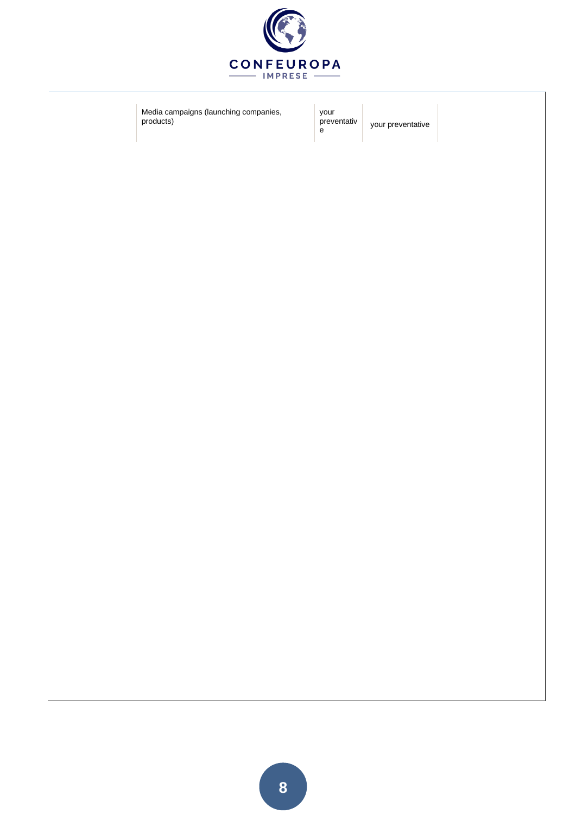

Media campaigns (launching companies, products)

your preventativ e

your preventative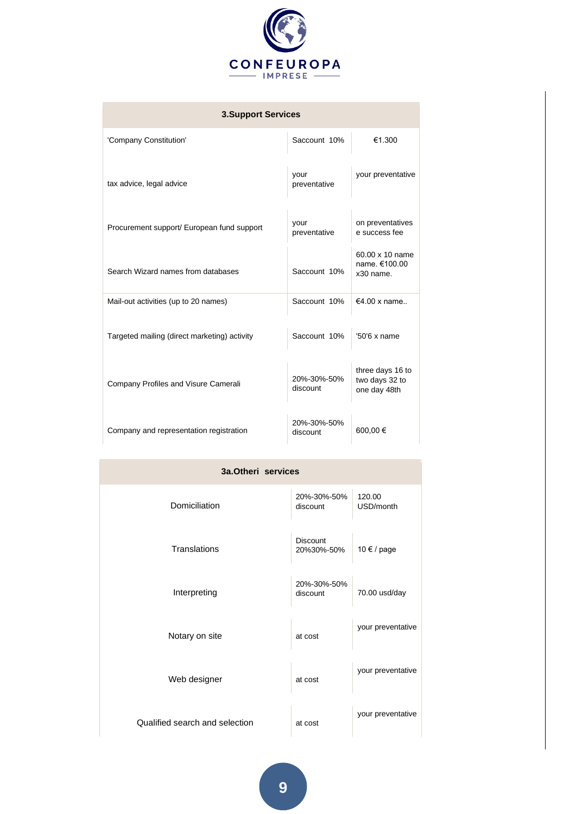

| <b>3.Support Services</b>                    |                         |                                                    |  |
|----------------------------------------------|-------------------------|----------------------------------------------------|--|
| 'Company Constitution'                       | Saccount 10%            | €1.300                                             |  |
| tax advice, legal advice                     | your<br>preventative    | your preventative                                  |  |
| Procurement support/ European fund support   | your<br>preventative    | on preventatives<br>e success fee                  |  |
| Search Wizard names from databases           | Saccount 10%            | 60.00 x 10 name<br>name. €100.00<br>x30 name.      |  |
| Mail-out activities (up to 20 names)         | Saccount 10%            | €4.00 x name                                       |  |
| Targeted mailing (direct marketing) activity | Saccount 10%            | $'50'6x$ name                                      |  |
| Company Profiles and Visure Camerali         | 20%-30%-50%<br>discount | three days 16 to<br>two days 32 to<br>one day 48th |  |
| Company and representation registration      | 20%-30%-50%<br>discount | 600,00€                                            |  |

| 3a.Otheri services             |                               |                     |  |
|--------------------------------|-------------------------------|---------------------|--|
| Domiciliation                  | 20%-30%-50%<br>discount       | 120.00<br>USD/month |  |
| Translations                   | <b>Discount</b><br>20%30%-50% | 10 € / page         |  |
| Interpreting                   | 20%-30%-50%<br>discount       | 70.00 usd/day       |  |
| Notary on site                 | at cost                       | your preventative   |  |
| Web designer                   | at cost                       | your preventative   |  |
| Qualified search and selection | at cost                       | your preventative   |  |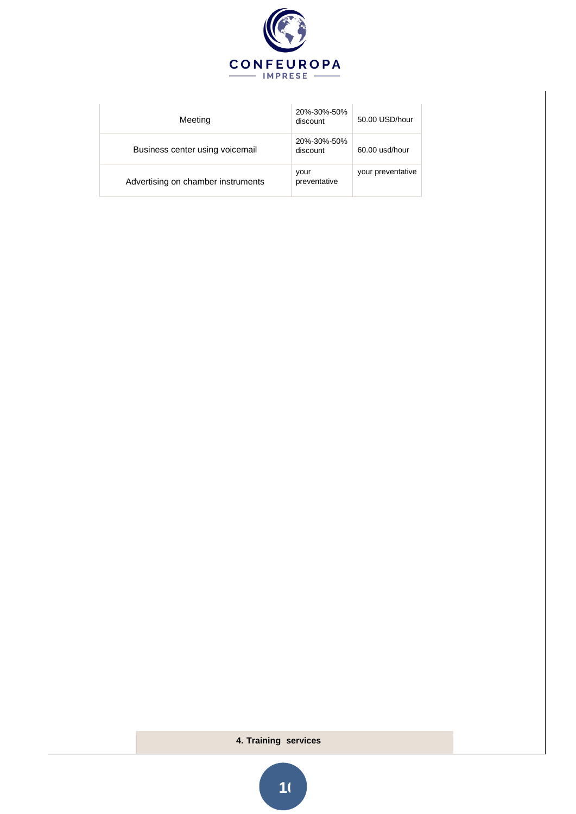

| Meeting                            | 20%-30%-50%<br>discount | 50.00 USD/hour    |
|------------------------------------|-------------------------|-------------------|
| Business center using voicemail    | 20%-30%-50%<br>discount | 60.00 usd/hour    |
| Advertising on chamber instruments | your<br>preventative    | your preventative |

# **4. Training services**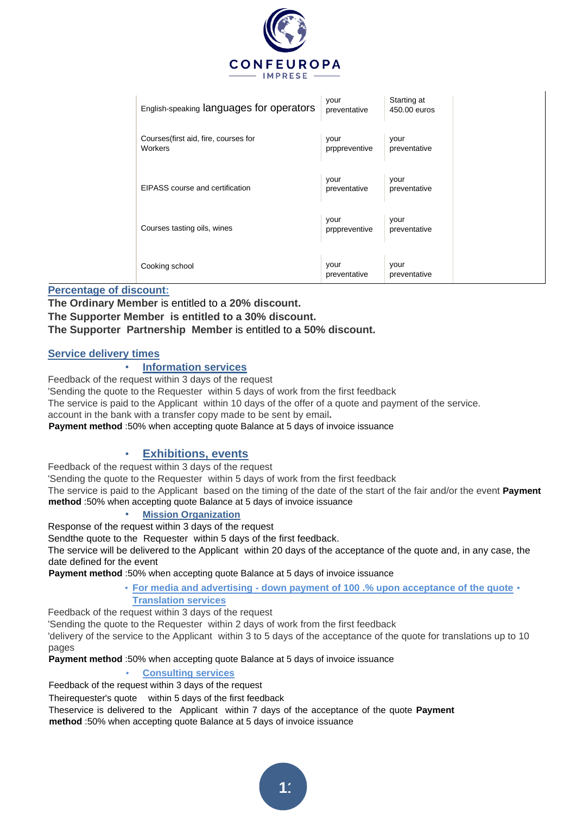

| English-speaking languages for operators         | your<br>preventative  | Starting at<br>450.00 euros |  |
|--------------------------------------------------|-----------------------|-----------------------------|--|
| Courses (first aid, fire, courses for<br>Workers | your<br>prppreventive | your<br>preventative        |  |
| EIPASS course and certification                  | your<br>preventative  | your<br>preventative        |  |
| Courses tasting oils, wines                      | your<br>prppreventive | your<br>preventative        |  |
| Cooking school                                   | your<br>preventative  | your<br>preventative        |  |

## **Percentage of discount:**

**The Ordinary Member** is entitled to a **20% discount. The Supporter Member is entitled to a 30% discount. The Supporter Partnership Member** is entitled to **a 50% discount.**

# **Service delivery times**

# • **Information services**

Feedback of the request within 3 days of the request

'Sending the quote to the Requester within 5 days of work from the first feedback

The service is paid to the Applicant within 10 days of the offer of a quote and payment of the service.

account in the bank with a transfer copy made to be sent by email**.**

**Payment method** :50% when accepting quote Balance at 5 days of invoice issuance

## • **Exhibitions, events**

Feedback of the request within 3 days of the request

'Sending the quote to the Requester within 5 days of work from the first feedback

The service is paid to the Applicant based on the timing of the date of the start of the fair and/or the event **Payment method** :50% when accepting quote Balance at 5 days of invoice issuance

# • **Mission Organization**

Response of the request within 3 days of the request

Sendthe quote to the Requester within 5 days of the first feedback.

The service will be delivered to the Applicant within 20 days of the acceptance of the quote and, in any case, the date defined for the event

**Payment method** :50% when accepting quote Balance at 5 days of invoice issuance

• **For media and advertising - down payment of 100 .% upon acceptance of the quote** • **Translation services** 

Feedback of the request within 3 days of the request

'Sending the quote to the Requester within 2 days of work from the first feedback

'delivery of the service to the Applicant within 3 to 5 days of the acceptance of the quote for translations up to 10 pages

**Payment method** :50% when accepting quote Balance at 5 days of invoice issuance

### • **Consulting services**

Feedback of the request within 3 days of the request

Theirequester's quote within 5 days of the first feedback

Theservice is delivered to the Applicant within 7 days of the acceptance of the quote **Payment** 

**method** :50% when accepting quote Balance at 5 days of invoice issuance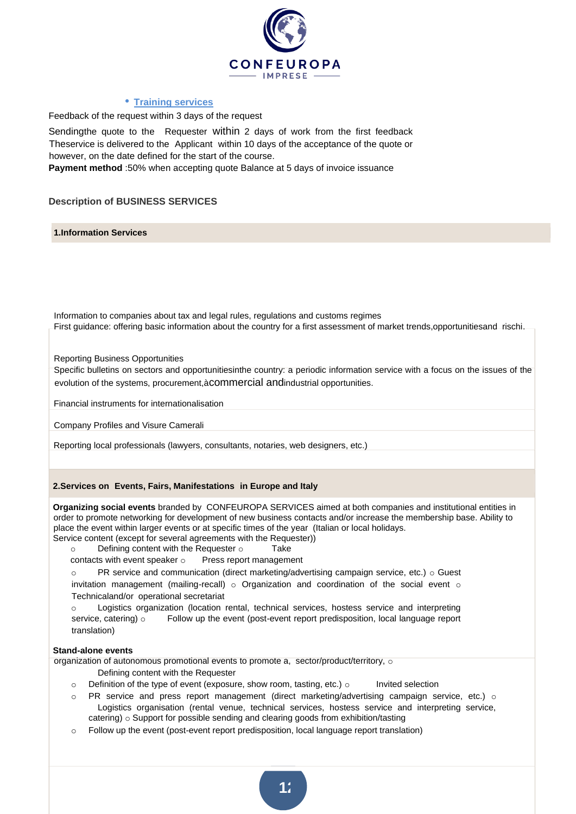

### • **Training services**

Feedback of the request within 3 days of the request

Sendingthe quote to the Requester within 2 days of work from the first feedback Theservice is delivered to the Applicant within 10 days of the acceptance of the quote or however, on the date defined for the start of the course.

**Payment method** :50% when accepting quote Balance at 5 days of invoice issuance

**Description of BUSINESS SERVICES**

**1.Information Services**

Information to companies about tax and legal rules, regulations and customs regimes First guidance: offering basic information about the country for a first assessment of market trends,opportunitiesand rischi.

Reporting Business Opportunities

Specific bulletins on sectors and opportunitiesinthe country: a periodic information service with a focus on the issues of the evolution of the systems, procurement,àcommercial andindustrial opportunities.

Financial instruments for internationalisation

Company Profiles and Visure Camerali

Reporting local professionals (lawyers, consultants, notaries, web designers, etc.)

#### **2.Services on Events, Fairs, Manifestations in Europe and Italy**

**Organizing social events** branded by CONFEUROPA SERVICES aimed at both companies and institutional entities in order to promote networking for development of new business contacts and/or increase the membership base. Ability to place the event within larger events or at specific times of the year (Italian or local holidays. Service content (except for several agreements with the Requester))

- o Defining content with the Requester o Take
- contacts with event speaker o Press report management
- $\circ$  PR service and communication (direct marketing/advertising campaign service, etc.)  $\circ$  Guest invitation management (mailing-recall)  $\circ$  Organization and coordination of the social event  $\circ$ Technicaland/or operational secretariat

o Logistics organization (location rental, technical services, hostess service and interpreting service, catering) o Follow up the event (post-event report predisposition, local language report translation)

#### **Stand-alone events**

organization of autonomous promotional events to promote a, sector/product/territory, o

- Defining content with the Requester
- $\circ$  Definition of the type of event (exposure, show room, tasting, etc.)  $\circ$  Invited selection
- $\circ$  PR service and press report management (direct marketing/advertising campaign service, etc.)  $\circ$ Logistics organisation (rental venue, technical services, hostess service and interpreting service, catering) o Support for possible sending and clearing goods from exhibition/tasting
- $\circ$  Follow up the event (post-event report predisposition, local language report translation)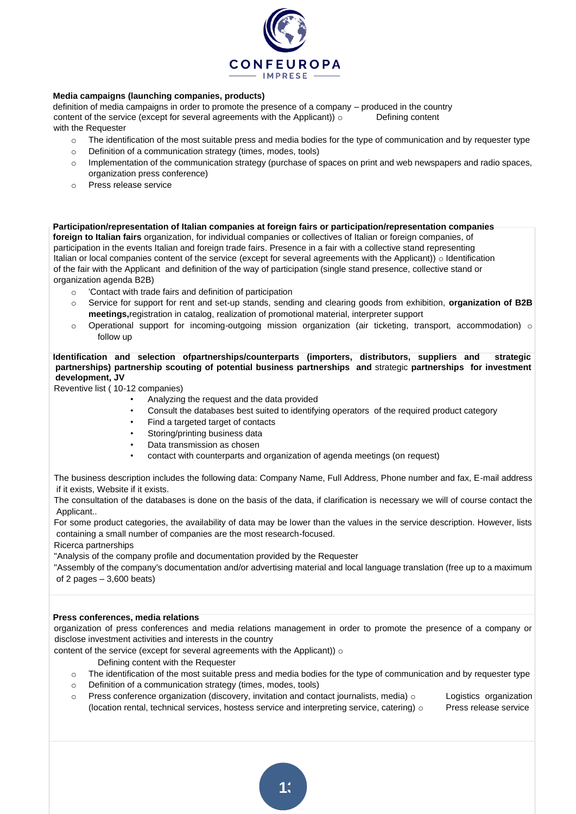

### **Media campaigns (launching companies, products)**

definition of media campaigns in order to promote the presence of a company – produced in the country content of the service (except for several agreements with the Applicant))  $\circ$  Defining content with the Requester

- o The identification of the most suitable press and media bodies for the type of communication and by requester type
- o Definition of a communication strategy (times, modes, tools)
- $\circ$  Implementation of the communication strategy (purchase of spaces on print and web newspapers and radio spaces, organization press conference)
- o Press release service

**Participation/representation of Italian companies at foreign fairs or participation/representation companies foreign to Italian fairs** organization, for individual companies or collectives of Italian or foreign companies, of participation in the events Italian and foreign trade fairs. Presence in a fair with a collective stand representing Italian or local companies content of the service (except for several agreements with the Applicant)) o Identification of the fair with the Applicant and definition of the way of participation (single stand presence, collective stand or organization agenda B2B)

- o 'Contact with trade fairs and definition of participation
- o Service for support for rent and set-up stands, sending and clearing goods from exhibition, **organization of B2B meetings,**registration in catalog, realization of promotional material, interpreter support
- $\circ$  Operational support for incoming-outgoing mission organization (air ticketing, transport, accommodation)  $\circ$ follow up

#### **Identification and selection ofpartnerships/counterparts (importers, distributors, suppliers and strategic partnerships) partnership scouting of potential business partnerships and** strategic **partnerships for investment development, JV**

Reventive list ( 10-12 companies)

- Analyzing the request and the data provided
- Consult the databases best suited to identifying operators of the required product category
- Find a targeted target of contacts
- Storing/printing business data
- Data transmission as chosen
- contact with counterparts and organization of agenda meetings (on request)

The business description includes the following data: Company Name, Full Address, Phone number and fax, E-mail address if it exists, Website if it exists.

The consultation of the databases is done on the basis of the data, if clarification is necessary we will of course contact the Applicant..

For some product categories, the availability of data may be lower than the values in the service description. However, lists containing a small number of companies are the most research-focused.

Ricerca partnerships

"Analysis of the company profile and documentation provided by the Requester

"Assembly of the company's documentation and/or advertising material and local language translation (free up to a maximum of 2 pages  $-3,600$  beats)

#### **Press conferences, media relations**

organization of press conferences and media relations management in order to promote the presence of a company or disclose investment activities and interests in the country

content of the service (except for several agreements with the Applicant))  $\circ$ 

Defining content with the Requester

- $\circ$  The identification of the most suitable press and media bodies for the type of communication and by requester type
- o Definition of a communication strategy (times, modes, tools)
- $\circ$  Press conference organization (discovery, invitation and contact journalists, media)  $\circ$  Logistics organization (location rental, technical services, hostess service and interpreting service, catering)  $\circ$  Press release service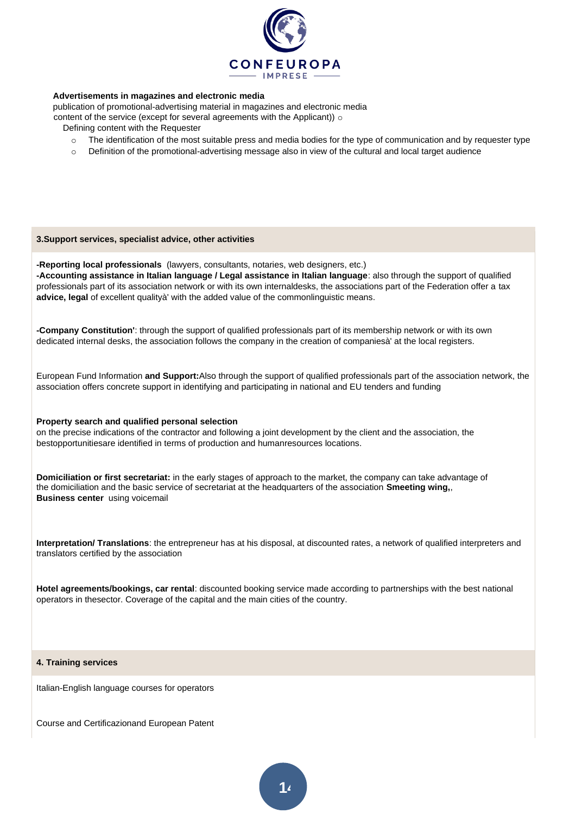

#### **Advertisements in magazines and electronic media**

publication of promotional-advertising material in magazines and electronic media

content of the service (except for several agreements with the Applicant)) of

- Defining content with the Requester
	- $\circ$  The identification of the most suitable press and media bodies for the type of communication and by requester type
	- o Definition of the promotional-advertising message also in view of the cultural and local target audience

#### **3.Support services, specialist advice, other activities**

**-Reporting local professionals** (lawyers, consultants, notaries, web designers, etc.)

**-Accounting assistance in Italian language / Legal assistance in Italian language**: also through the support of qualified professionals part of its association network or with its own internaldesks, the associations part of the Federation offer a tax **advice, legal** of excellent qualityà' with the added value of the commonlinguistic means.

**-Company Constitution'**: through the support of qualified professionals part of its membership network or with its own dedicated internal desks, the association follows the company in the creation of companiesà' at the local registers.

European Fund Information **and Support:**Also through the support of qualified professionals part of the association network, the association offers concrete support in identifying and participating in national and EU tenders and funding

#### **Property search and qualified personal selection**

on the precise indications of the contractor and following a joint development by the client and the association, the bestopportunitiesare identified in terms of production and humanresources locations.

**Domiciliation or first secretariat:** in the early stages of approach to the market, the company can take advantage of the domiciliation and the basic service of secretariat at the headquarters of the association **Smeeting wing,**, **Business center** using voicemail

**Interpretation/ Translations**: the entrepreneur has at his disposal, at discounted rates, a network of qualified interpreters and translators certified by the association

**Hotel agreements/bookings, car rental**: discounted booking service made according to partnerships with the best national operators in thesector. Coverage of the capital and the main cities of the country.

#### **4. Training services**

Italian-English language courses for operators

Course and Certificazionand European Patent